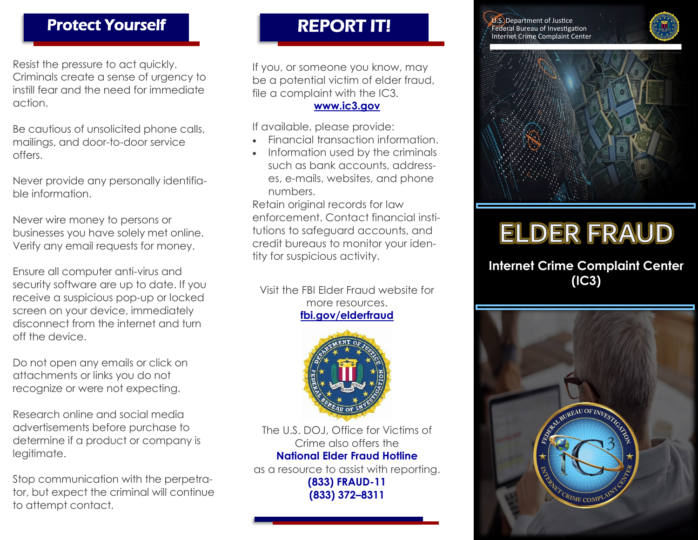## Protect Yourself REPORT IT!

Resist the pressure to act quickly. Criminals create a sense of urgency to instill fear and the need for immediate action.

Be cautious of unsolicited phone calls, mailings, and door-to-door service offers.

Never provide any personally identifiable information.

Never wire money to persons or businesses you have solely met online. Verify any email requests for money.

Ensure all computer anti-virus and security software are up to date. If you receive a suspicious pop-up or locked screen on your device, immediately disconnect from the internet and turn off the device.

Do not open any emails or click on attachments or links you do not recognize or were not expecting.

Research online and social media advertisements before purchase to determine if a product or company is legitimate.

Stop communication with the perpetrator, but expect the criminal will continue to attempt contact.

If you, or someone you know, may be a potential victim of elder fraud, file a complaint with the IC3.

#### **[www.ic3.gov](http://www.ic3.gov/)**

If available, please provide:

- Financial transaction information.
- Information used by the criminals such as bank accounts, addresses, e-mails, websites, and phone numbers.

Retain original records for law enforcement. Contact financial institutions to safeguard accounts, and credit bureaus to monitor your identity for suspicious activity.

Visit the FBI Elder Fraud website for more resources. **fbi.gov/elderfraud**



The U.S. DOJ, Office for Victims of Crime also offers the **National Elder Fraud Hotline**

as a resource to assist with reporting. **(833) FRAUD-11 (833) 372–8311**

Ī

**U.S. Department of Justice** Federal Bureau of Investigation Internet Crime Complaint Center





# **ELDER FRAUD**

**Internet Crime Complaint Center (IC3)**